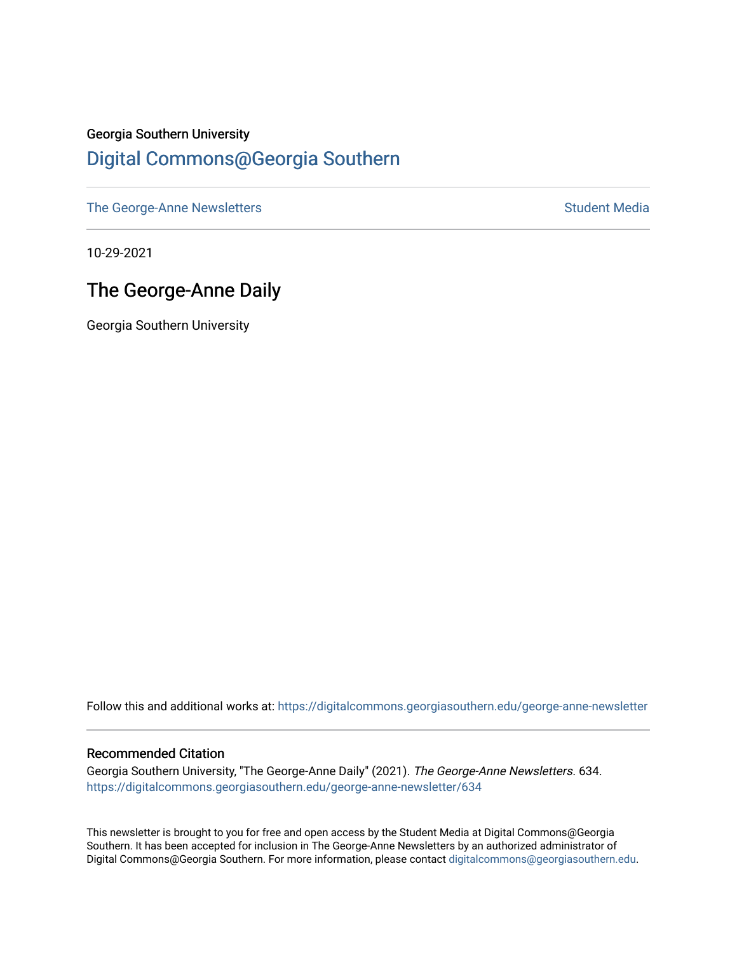### Georgia Southern University [Digital Commons@Georgia Southern](https://digitalcommons.georgiasouthern.edu/)

[The George-Anne Newsletters](https://digitalcommons.georgiasouthern.edu/george-anne-newsletter) **Student Media** Student Media

10-29-2021

# The George-Anne Daily

Georgia Southern University

Follow this and additional works at: [https://digitalcommons.georgiasouthern.edu/george-anne-newsletter](https://digitalcommons.georgiasouthern.edu/george-anne-newsletter?utm_source=digitalcommons.georgiasouthern.edu%2Fgeorge-anne-newsletter%2F634&utm_medium=PDF&utm_campaign=PDFCoverPages)

#### Recommended Citation

Georgia Southern University, "The George-Anne Daily" (2021). The George-Anne Newsletters. 634. [https://digitalcommons.georgiasouthern.edu/george-anne-newsletter/634](https://digitalcommons.georgiasouthern.edu/george-anne-newsletter/634?utm_source=digitalcommons.georgiasouthern.edu%2Fgeorge-anne-newsletter%2F634&utm_medium=PDF&utm_campaign=PDFCoverPages) 

This newsletter is brought to you for free and open access by the Student Media at Digital Commons@Georgia Southern. It has been accepted for inclusion in The George-Anne Newsletters by an authorized administrator of Digital Commons@Georgia Southern. For more information, please contact [digitalcommons@georgiasouthern.edu.](mailto:digitalcommons@georgiasouthern.edu)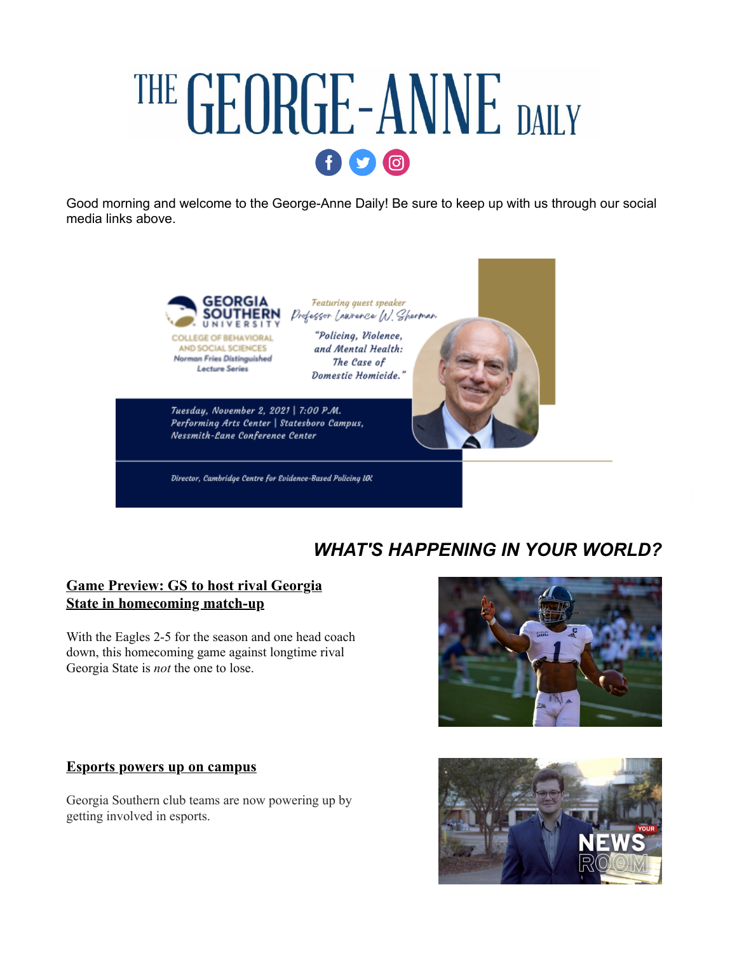# THE GEORGE-ANNE DAILY  $\mathbf{0}$

Good morning and welcome to the George-Anne Daily! Be sure to keep up with us through our social media links above.



**Lecture Series** 

Featuring quest speaker Professor LANTEACE W. Sherman "Policing, Violence,

and Mental Health:

The Case of Domestic Homicide.'

Tuesday, November 2, 2021 | 7:00 P.M. Performing Arts Center | Statesboro Campus, Nessmith-Lane Conference Center

Director, Cambridge Centre for Evidence-Based Policing UK

# *WHAT'S HAPPENING IN YOUR WORLD?*

#### **[Game Preview: GS to host rival Georgia](https://r20.rs6.net/tn.jsp?f=001rkbuyz3dmRJsvpFXnIXlcZp2AhEJVEcfPsa-8wxPQbcmZ_KRMz7g56B07WqB-PBoeyB1JbrhezCg5joALa5BEbFU0goniFOVfh23Na1lZTEhpeobXSklt9st8JAYg7qiCiv60jZf7ETXZdKA2Ra7tLOkGPCoElRIjGubFdY6aWkuDRmOOXMn6tQ9cz-XEnYZ6uegYkw1GgQ2tUNbK6CtOM0qhJOY8iDpbWC1IEZKN8wA610BQjy7pnKny01pnpEW&c=T0OOGfZL-5i6w-0TxLg0g69Ue56PvUMSTG2unCzROk0gIvem2UESMg==&ch=ddp_7DWDU-pmZHqpn7itud2ZaVXZIv3MvR-IsDhGNe9Nc5vTfaES8g==) State in homecoming match-up**

With the Eagles 2-5 for the season and one head coach down, this homecoming game against longtime rival Georgia State is *not* the one to lose.



#### **[Esports powers up on campus](https://r20.rs6.net/tn.jsp?f=001rkbuyz3dmRJsvpFXnIXlcZp2AhEJVEcfPsa-8wxPQbcmZ_KRMz7g56B07WqB-PBoSOBZVu9BDY4-4mWwrr2B_7WiwImAa_eAbKtPTT2Jnmgw7aR4CGFm2MCLPB6JsoZzFXaduMOT0dK7nGYwy1Qe72xKWlWfeTKIjj2Mtt45UYIKL_04rJXsNMjw7k5sFpkRZZ2oreGXvjzXaEP0xV63yg==&c=T0OOGfZL-5i6w-0TxLg0g69Ue56PvUMSTG2unCzROk0gIvem2UESMg==&ch=ddp_7DWDU-pmZHqpn7itud2ZaVXZIv3MvR-IsDhGNe9Nc5vTfaES8g==)**

Georgia Southern club teams are now powering up by getting involved in esports.

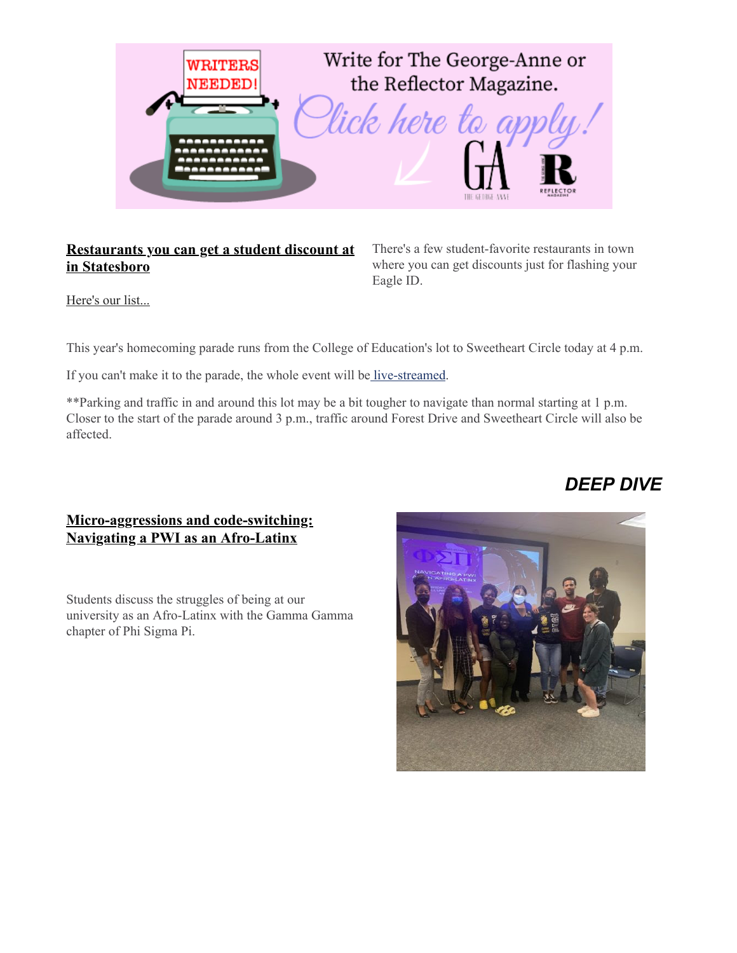

#### **[Restaurants you can get a student discount at](https://r20.rs6.net/tn.jsp?f=001rkbuyz3dmRJsvpFXnIXlcZp2AhEJVEcfPsa-8wxPQbcmZ_KRMz7g56B07WqB-PBouN8AikLl6L7v4M9XfS1DtGw9kGIFVMpEIJlHacI1FLsHQT3FK8gEROh4Zl7i-XYfe8qDpJmZDqUVd8YdngAoWwwUuTsJbHOxzyLC_vQ5LTVkYu1DKvfUQ-cJTsZgYrTyNRMxAyL6qDS8gkluJxzKp2aXUK1Q4uOZTHUvfwlq04DrkYX9W2nPU6pYSC4wbMvi&c=T0OOGfZL-5i6w-0TxLg0g69Ue56PvUMSTG2unCzROk0gIvem2UESMg==&ch=ddp_7DWDU-pmZHqpn7itud2ZaVXZIv3MvR-IsDhGNe9Nc5vTfaES8g==) in Statesboro**

There's a few student-favorite restaurants in town where you can get discounts just for flashing your Eagle ID.

[Here's our list...](https://r20.rs6.net/tn.jsp?f=001rkbuyz3dmRJsvpFXnIXlcZp2AhEJVEcfPsa-8wxPQbcmZ_KRMz7g56B07WqB-PBouN8AikLl6L7v4M9XfS1DtGw9kGIFVMpEIJlHacI1FLsHQT3FK8gEROh4Zl7i-XYfe8qDpJmZDqUVd8YdngAoWwwUuTsJbHOxzyLC_vQ5LTVkYu1DKvfUQ-cJTsZgYrTyNRMxAyL6qDS8gkluJxzKp2aXUK1Q4uOZTHUvfwlq04DrkYX9W2nPU6pYSC4wbMvi&c=T0OOGfZL-5i6w-0TxLg0g69Ue56PvUMSTG2unCzROk0gIvem2UESMg==&ch=ddp_7DWDU-pmZHqpn7itud2ZaVXZIv3MvR-IsDhGNe9Nc5vTfaES8g==)

This year's homecoming parade runs from the College of Education's lot to Sweetheart Circle today at 4 p.m.

If you can't make it to the parade, the whole event will be [live-streamed.](https://r20.rs6.net/tn.jsp?f=001rkbuyz3dmRJsvpFXnIXlcZp2AhEJVEcfPsa-8wxPQbcmZ_KRMz7g56B07WqB-PBozpRENmAMkQvmFrhbWgpjL8tl6uRJjbrK4N5b5s_xdQD_d-rHVNlEXhY_fYVM_a8QpjlDMzr4gZCcuhFkgSbOCVzjB-nMF29Ex_x5nxKFGFc=&c=T0OOGfZL-5i6w-0TxLg0g69Ue56PvUMSTG2unCzROk0gIvem2UESMg==&ch=ddp_7DWDU-pmZHqpn7itud2ZaVXZIv3MvR-IsDhGNe9Nc5vTfaES8g==)

\*\*Parking and traffic in and around this lot may be a bit tougher to navigate than normal starting at 1 p.m. Closer to the start of the parade around 3 p.m., traffic around Forest Drive and Sweetheart Circle will also be affected.

# *DEEP DIVE*

#### **[Micro-aggressions and code-switching:](https://r20.rs6.net/tn.jsp?f=001rkbuyz3dmRJsvpFXnIXlcZp2AhEJVEcfPsa-8wxPQbcmZ_KRMz7g56B07WqB-PBoSOg3B9jzy9Ay9F0ffBdvDiPSXMmEqKmUkjUkmLDunCwTeEWIZExdqovhpTosLzwaOiC-cdoaAhcdhvIhUiK2uau9mcZrGp3mz-h7PWgTHjmfk9VGf2ArtbhXefo23bQXjOkbwkE6RM4pFyGbZ53hEQXcyHtNqX8WjMQxC3Qz-hw=&c=T0OOGfZL-5i6w-0TxLg0g69Ue56PvUMSTG2unCzROk0gIvem2UESMg==&ch=ddp_7DWDU-pmZHqpn7itud2ZaVXZIv3MvR-IsDhGNe9Nc5vTfaES8g==) Navigating a PWI as an Afro-Latinx**

Students discuss the struggles of being at our university as an Afro-Latinx with the Gamma Gamma chapter of Phi Sigma Pi.